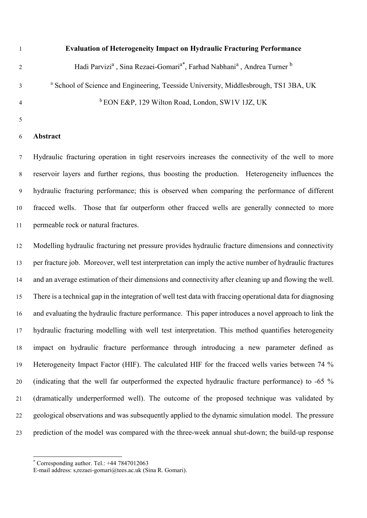**Evaluation of Heterogeneity Impact on Hydraulic Fracturing Performance**  Hadi Parvizi<sup>a</sup> , Sina Rezaei-Gomari<sup>a\*</sup>, Farhad Nabhani<sup>a</sup> , Andrea Turner <sup>b</sup> <sup>a</sup> School of Science and Engineering, Teesside University, Middlesbrough, TS1 3BA, UK <sup>b</sup> EON E&P, 129 Wilton Road, London, SW1V 1JZ, UK 

#### **Abstract**

 Hydraulic fracturing operation in tight reservoirs increases the connectivity of the well to more reservoir layers and further regions, thus boosting the production. Heterogeneity influences the hydraulic fracturing performance; this is observed when comparing the performance of different fracced wells. Those that far outperform other fracced wells are generally connected to more permeable rock or natural fractures.

 Modelling hydraulic fracturing net pressure provides hydraulic fracture dimensions and connectivity per fracture job. Moreover, well test interpretation can imply the active number of hydraulic fractures and an average estimation of their dimensions and connectivity after cleaning up and flowing the well. There is a technical gap in the integration of well test data with fraccing operational data for diagnosing and evaluating the hydraulic fracture performance. This paper introduces a novel approach to link the hydraulic fracturing modelling with well test interpretation. This method quantifies heterogeneity impact on hydraulic fracture performance through introducing a new parameter defined as Heterogeneity Impact Factor (HIF). The calculated HIF for the fracced wells varies between 74 % (indicating that the well far outperformed the expected hydraulic fracture performance) to -65 % (dramatically underperformed well). The outcome of the proposed technique was validated by geological observations and was subsequently applied to the dynamic simulation model. The pressure prediction of the model was compared with the three-week annual shut-down; the build-up response

-

<sup>\*</sup> Corresponding author. Tel.: +44 7847012063

E-mail address: s,rezaei-gomari@tees.ac.uk (Sina R. Gomari).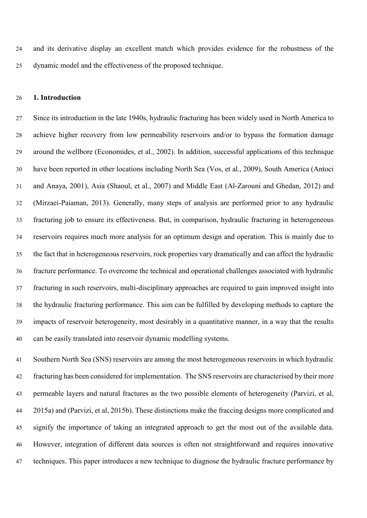and its derivative display an excellent match which provides evidence for the robustness of the dynamic model and the effectiveness of the proposed technique.

## **1. Introduction**

 Since its introduction in the late 1940s, hydraulic fracturing has been widely used in North America to achieve higher recovery from low permeability reservoirs and/or to bypass the formation damage around the wellbore (Economides, et al., 2002). In addition, successful applications of this technique have been reported in other locations including North Sea (Vos, et al., 2009), South America (Antoci and Anaya, 2001), Asia (Shaoul, et al., 2007) and Middle East (Al-Zarouni and Ghedan, 2012) and (Mirzaei-Paiaman, 2013). Generally, many steps of analysis are performed prior to any hydraulic fracturing job to ensure its effectiveness. But, in comparison, hydraulic fracturing in heterogeneous reservoirs requires much more analysis for an optimum design and operation. This is mainly due to the fact that in heterogeneous reservoirs, rock properties vary dramatically and can affect the hydraulic fracture performance. To overcome the technical and operational challenges associated with hydraulic fracturing in such reservoirs, multi-disciplinary approaches are required to gain improved insight into the hydraulic fracturing performance. This aim can be fulfilled by developing methods to capture the impacts of reservoir heterogeneity, most desirably in a quantitative manner, in a way that the results can be easily translated into reservoir dynamic modelling systems.

 Southern North Sea (SNS) reservoirs are among the most heterogeneous reservoirs in which hydraulic fracturing has been considered for implementation. The SNS reservoirs are characterised by their more permeable layers and natural fractures as the two possible elements of heterogeneity (Parvizi, et al, 2015a) and (Parvizi, et al, 2015b). These distinctions make the fraccing designs more complicated and signify the importance of taking an integrated approach to get the most out of the available data. However, integration of different data sources is often not straightforward and requires innovative techniques. This paper introduces a new technique to diagnose the hydraulic fracture performance by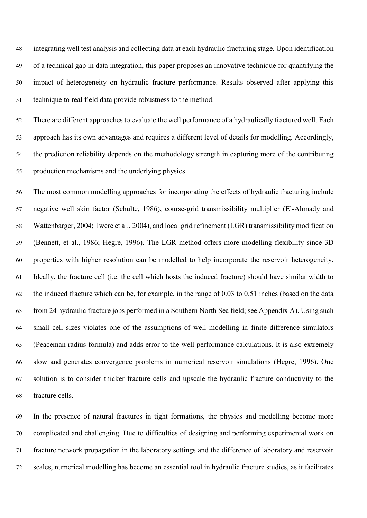integrating well test analysis and collecting data at each hydraulic fracturing stage. Upon identification of a technical gap in data integration, this paper proposes an innovative technique for quantifying the impact of heterogeneity on hydraulic fracture performance. Results observed after applying this technique to real field data provide robustness to the method.

 There are different approaches to evaluate the well performance of a hydraulically fractured well. Each approach has its own advantages and requires a different level of details for modelling. Accordingly, the prediction reliability depends on the methodology strength in capturing more of the contributing production mechanisms and the underlying physics.

 The most common modelling approaches for incorporating the effects of hydraulic fracturing include negative well skin factor (Schulte, 1986), course-grid transmissibility multiplier (El-Ahmady and Wattenbarger, 2004; Iwere et al., 2004), and local grid refinement (LGR) transmissibility modification (Bennett, et al., 1986; Hegre, 1996). The LGR method offers more modelling flexibility since 3D properties with higher resolution can be modelled to help incorporate the reservoir heterogeneity. Ideally, the fracture cell (i.e. the cell which hosts the induced fracture) should have similar width to the induced fracture which can be, for example, in the range of 0.03 to 0.51 inches (based on the data from 24 hydraulic fracture jobs performed in a Southern North Sea field; see Appendix A). Using such small cell sizes violates one of the assumptions of well modelling in finite difference simulators (Peaceman radius formula) and adds error to the well performance calculations. It is also extremely slow and generates convergence problems in numerical reservoir simulations (Hegre, 1996). One solution is to consider thicker fracture cells and upscale the hydraulic fracture conductivity to the fracture cells.

 In the presence of natural fractures in tight formations, the physics and modelling become more complicated and challenging. Due to difficulties of designing and performing experimental work on fracture network propagation in the laboratory settings and the difference of laboratory and reservoir scales, numerical modelling has become an essential tool in hydraulic fracture studies, as it facilitates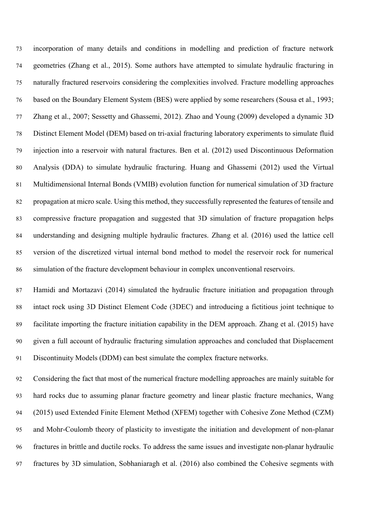incorporation of many details and conditions in modelling and prediction of fracture network geometries (Zhang et al., 2015). Some authors have attempted to simulate hydraulic fracturing in naturally fractured reservoirs considering the complexities involved. Fracture modelling approaches based on the Boundary Element System (BES) were applied by some researchers (Sousa et al., 1993; Zhang et al., 2007; Sessetty and Ghassemi, 2012). Zhao and Young (2009) developed a dynamic 3D Distinct Element Model (DEM) based on tri-axial fracturing laboratory experiments to simulate fluid injection into a reservoir with natural fractures. Ben et al. (2012) used Discontinuous Deformation Analysis (DDA) to simulate hydraulic fracturing. Huang and Ghassemi (2012) used the Virtual Multidimensional Internal Bonds (VMIB) evolution function for numerical simulation of 3D fracture propagation at micro scale. Using this method, they successfully represented the features of tensile and compressive fracture propagation and suggested that 3D simulation of fracture propagation helps understanding and designing multiple hydraulic fractures. Zhang et al. (2016) used the lattice cell version of the discretized virtual internal bond method to model the reservoir rock for numerical simulation of the fracture development behaviour in complex unconventional reservoirs.

 Hamidi and Mortazavi (2014) simulated the hydraulic fracture initiation and propagation through intact rock using 3D Distinct Element Code (3DEC) and introducing a fictitious joint technique to facilitate importing the fracture initiation capability in the DEM approach. Zhang et al. (2015) have given a full account of hydraulic fracturing simulation approaches and concluded that Displacement Discontinuity Models (DDM) can best simulate the complex fracture networks.

 Considering the fact that most of the numerical fracture modelling approaches are mainly suitable for hard rocks due to assuming planar fracture geometry and linear plastic fracture mechanics, Wang (2015) used Extended Finite Element Method (XFEM) together with Cohesive Zone Method (CZM) and Mohr-Coulomb theory of plasticity to investigate the initiation and development of non-planar fractures in brittle and ductile rocks. To address the same issues and investigate non-planar hydraulic fractures by 3D simulation, Sobhaniaragh et al. (2016) also combined the Cohesive segments with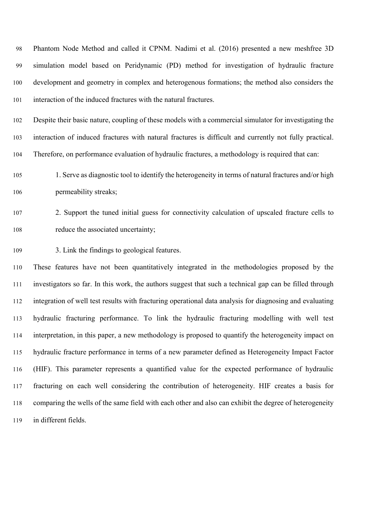Phantom Node Method and called it CPNM. Nadimi et al. (2016) presented a new meshfree 3D simulation model based on Peridynamic (PD) method for investigation of hydraulic fracture development and geometry in complex and heterogenous formations; the method also considers the interaction of the induced fractures with the natural fractures.

 Despite their basic nature, coupling of these models with a commercial simulator for investigating the interaction of induced fractures with natural fractures is difficult and currently not fully practical. Therefore, on performance evaluation of hydraulic fractures, a methodology is required that can:

 1. Serve as diagnostic tool to identify the heterogeneity in terms of natural fractures and/or high permeability streaks;

 2. Support the tuned initial guess for connectivity calculation of upscaled fracture cells to 108 reduce the associated uncertainty;

3. Link the findings to geological features.

 These features have not been quantitatively integrated in the methodologies proposed by the investigators so far. In this work, the authors suggest that such a technical gap can be filled through integration of well test results with fracturing operational data analysis for diagnosing and evaluating hydraulic fracturing performance. To link the hydraulic fracturing modelling with well test interpretation, in this paper, a new methodology is proposed to quantify the heterogeneity impact on hydraulic fracture performance in terms of a new parameter defined as Heterogeneity Impact Factor (HIF). This parameter represents a quantified value for the expected performance of hydraulic fracturing on each well considering the contribution of heterogeneity. HIF creates a basis for comparing the wells of the same field with each other and also can exhibit the degree of heterogeneity in different fields.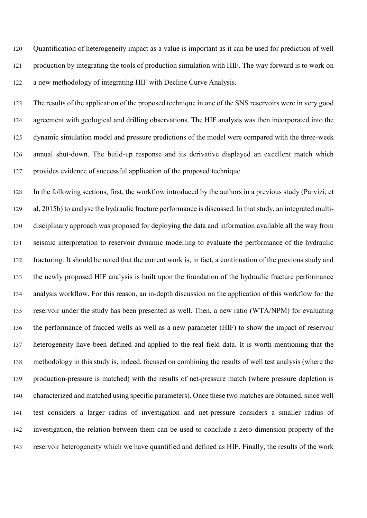Quantification of heterogeneity impact as a value is important as it can be used for prediction of well production by integrating the tools of production simulation with HIF. The way forward is to work on a new methodology of integrating HIF with Decline Curve Analysis.

 The results of the application of the proposed technique in one of the SNS reservoirs were in very good agreement with geological and drilling observations. The HIF analysis was then incorporated into the dynamic simulation model and pressure predictions of the model were compared with the three-week annual shut-down. The build-up response and its derivative displayed an excellent match which provides evidence of successful application of the proposed technique.

 In the following sections, first, the workflow introduced by the authors in a previous study (Parvizi, et al, 2015b) to analyse the hydraulic fracture performance is discussed. In that study, an integrated multi- disciplinary approach was proposed for deploying the data and information available all the way from seismic interpretation to reservoir dynamic modelling to evaluate the performance of the hydraulic fracturing. It should be noted that the current work is, in fact, a continuation of the previous study and the newly proposed HIF analysis is built upon the foundation of the hydraulic fracture performance analysis workflow. For this reason, an in-depth discussion on the application of this workflow for the reservoir under the study has been presented as well. Then, a new ratio (WTA/NPM) for evaluating the performance of fracced wells as well as a new parameter (HIF) to show the impact of reservoir heterogeneity have been defined and applied to the real field data. It is worth mentioning that the methodology in this study is, indeed, focused on combining the results of well test analysis (where the production-pressure is matched) with the results of net-pressure match (where pressure depletion is characterized and matched using specific parameters). Once these two matches are obtained, since well test considers a larger radius of investigation and net-pressure considers a smaller radius of investigation, the relation between them can be used to conclude a zero-dimension property of the reservoir heterogeneity which we have quantified and defined as HIF. Finally, the results of the work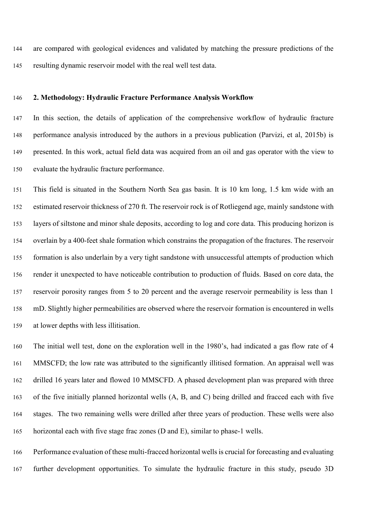are compared with geological evidences and validated by matching the pressure predictions of the resulting dynamic reservoir model with the real well test data.

#### **2. Methodology: Hydraulic Fracture Performance Analysis Workflow**

 In this section, the details of application of the comprehensive workflow of hydraulic fracture performance analysis introduced by the authors in a previous publication (Parvizi, et al, 2015b) is presented. In this work, actual field data was acquired from an oil and gas operator with the view to evaluate the hydraulic fracture performance.

 This field is situated in the Southern North Sea gas basin. It is 10 km long, 1.5 km wide with an estimated reservoir thickness of 270 ft. The reservoir rock is of Rotliegend age, mainly sandstone with layers of siltstone and minor shale deposits, according to log and core data. This producing horizon is overlain by a 400-feet shale formation which constrains the propagation of the fractures. The reservoir formation is also underlain by a very tight sandstone with unsuccessful attempts of production which render it unexpected to have noticeable contribution to production of fluids. Based on core data, the reservoir porosity ranges from 5 to 20 percent and the average reservoir permeability is less than 1 mD. Slightly higher permeabilities are observed where the reservoir formation is encountered in wells at lower depths with less illitisation.

 The initial well test, done on the exploration well in the 1980's, had indicated a gas flow rate of 4 MMSCFD; the low rate was attributed to the significantly illitised formation. An appraisal well was drilled 16 years later and flowed 10 MMSCFD. A phased development plan was prepared with three of the five initially planned horizontal wells (A, B, and C) being drilled and fracced each with five stages. The two remaining wells were drilled after three years of production. These wells were also horizontal each with five stage frac zones (D and E), similar to phase-1 wells.

 Performance evaluation of these multi-fracced horizontal wells is crucial for forecasting and evaluating further development opportunities. To simulate the hydraulic fracture in this study, pseudo 3D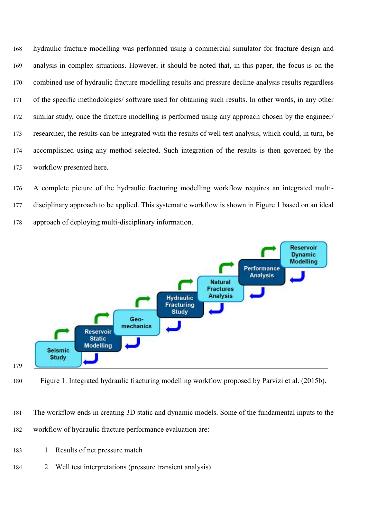hydraulic fracture modelling was performed using a commercial simulator for fracture design and analysis in complex situations. However, it should be noted that, in this paper, the focus is on the combined use of hydraulic fracture modelling results and pressure decline analysis results regardless of the specific methodologies/ software used for obtaining such results. In other words, in any other similar study, once the fracture modelling is performed using any approach chosen by the engineer/ researcher, the results can be integrated with the results of well test analysis, which could, in turn, be accomplished using any method selected. Such integration of the results is then governed by the workflow presented here.

 A complete picture of the hydraulic fracturing modelling workflow requires an integrated multi- disciplinary approach to be applied. This systematic workflow is shown in [Figure 1](#page-7-0) based on an ideal approach of deploying multi-disciplinary information.



- <span id="page-7-0"></span>Figure 1. Integrated hydraulic fracturing modelling workflow proposed by Parvizi et al. (2015b).
- The workflow ends in creating 3D static and dynamic models. Some of the fundamental inputs to the
- workflow of hydraulic fracture performance evaluation are:
- 183 1. Results of net pressure match
- 2. Well test interpretations (pressure transient analysis)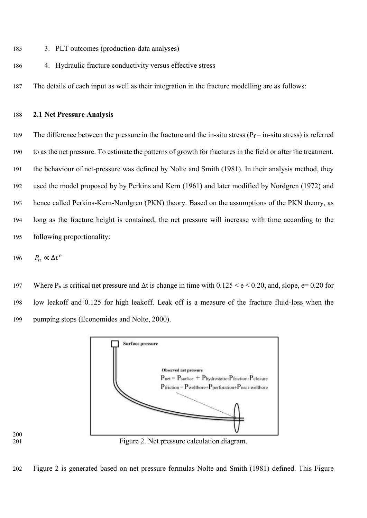- 3. PLT outcomes (production-data analyses)
- 4. Hydraulic fracture conductivity versus effective stress
- The details of each input as well as their integration in the fracture modelling are as follows:

## **2.1 Net Pressure Analysis**

189 The difference between the pressure in the fracture and the in-situ stress ( $P_f$  – in-situ stress) is referred to as the net pressure. To estimate the patterns of growth for fractures in the field or after the treatment, the behaviour of net-pressure was defined by Nolte and Smith (1981). In their analysis method, they used the model proposed by by Perkins and Kern (1961) and later modified by Nordgren (1972) and hence called Perkins-Kern-Nordgren (PKN) theory. Based on the assumptions of the PKN theory, as long as the fracture height is contained, the net pressure will increase with time according to the following proportionality:

 $P_n \propto \Delta t^e$ 

197 Where  $P_n$  is critical net pressure and  $\Delta t$  is change in time with  $0.125 \le e \le 0.20$ , and, slope,  $e = 0.20$  for low leakoff and 0.125 for high leakoff. Leak off is a measure of the fracture fluid-loss when the pumping stops (Economides and Nolte, 2000).



<span id="page-8-0"></span>Figure 2. Net pressure calculation diagram.

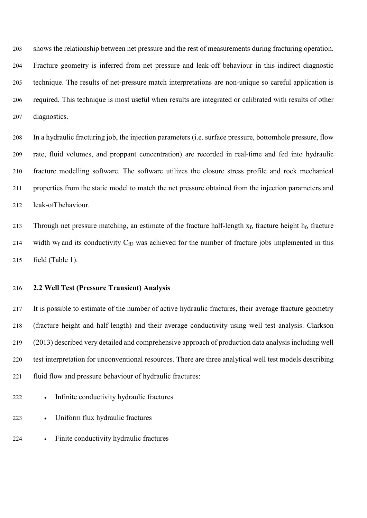shows the relationship between net pressure and the rest of measurements during fracturing operation. Fracture geometry is inferred from net pressure and leak-off behaviour in this indirect diagnostic technique. The results of net-pressure match interpretations are non-unique so careful application is required. This technique is most useful when results are integrated or calibrated with results of other diagnostics.

 In a hydraulic fracturing job, the injection parameters (i.e. surface pressure, bottomhole pressure, flow rate, fluid volumes, and proppant concentration) are recorded in real-time and fed into hydraulic fracture modelling software. The software utilizes the closure stress profile and rock mechanical properties from the static model to match the net pressure obtained from the injection parameters and leak-off behaviour.

213 Through net pressure matching, an estimate of the fracture half-length  $x_f$ , fracture height  $h_f$ , fracture 214 width  $w_f$  and its conductivity  $C_{fD}$  was achieved for the number of fracture jobs implemented in this field (Table 1).

# **2.2 Well Test (Pressure Transient) Analysis**

 It is possible to estimate of the number of active hydraulic fractures, their average fracture geometry (fracture height and half-length) and their average conductivity using well test analysis. Clarkson (2013) described very detailed and comprehensive approach of production data analysis including well test interpretation for unconventional resources. There are three analytical well test models describing fluid flow and pressure behaviour of hydraulic fractures:

- Infinite conductivity hydraulic fractures
- Uniform flux hydraulic fractures
- Finite conductivity hydraulic fractures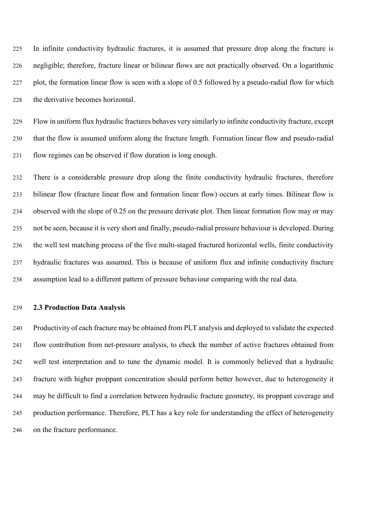In infinite conductivity hydraulic fractures, it is assumed that pressure drop along the fracture is negligible; therefore, fracture linear or bilinear flows are not practically observed. On a logarithmic plot, the formation linear flow is seen with a slope of 0.5 followed by a pseudo-radial flow for which the derivative becomes horizontal.

 Flow in uniform flux hydraulic fractures behaves very similarly to infinite conductivity fracture, except that the flow is assumed uniform along the fracture length. Formation linear flow and pseudo-radial flow regimes can be observed if flow duration is long enough.

 There is a considerable pressure drop along the finite conductivity hydraulic fractures, therefore bilinear flow (fracture linear flow and formation linear flow) occurs at early times. Bilinear flow is observed with the slope of 0.25 on the pressure derivate plot. Then linear formation flow may or may not be seen, because it is very short and finally, pseudo-radial pressure behaviour is developed. During the well test matching process of the five multi-staged fractured horizontal wells, finite conductivity hydraulic fractures was assumed. This is because of uniform flux and infinite conductivity fracture assumption lead to a different pattern of pressure behaviour comparing with the real data.

## **2.3 Production Data Analysis**

 Productivity of each fracture may be obtained from PLT analysis and deployed to validate the expected flow contribution from net-pressure analysis, to check the number of active fractures obtained from well test interpretation and to tune the dynamic model. It is commonly believed that a hydraulic fracture with higher proppant concentration should perform better however, due to heterogeneity it may be difficult to find a correlation between hydraulic fracture geometry, its proppant coverage and production performance. Therefore, PLT has a key role for understanding the effect of heterogeneity on the fracture performance.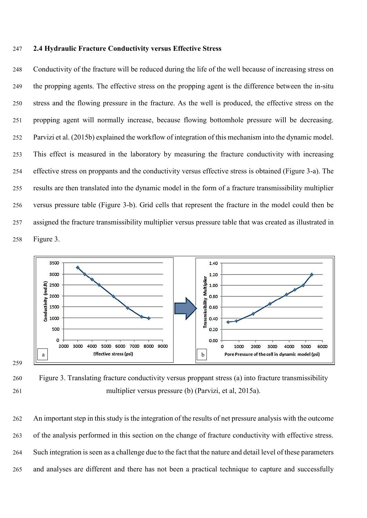#### **2.4 Hydraulic Fracture Conductivity versus Effective Stress**

 Conductivity of the fracture will be reduced during the life of the well because of increasing stress on the propping agents. The effective stress on the propping agent is the difference between the in-situ stress and the flowing pressure in the fracture. As the well is produced, the effective stress on the propping agent will normally increase, because flowing bottomhole pressure will be decreasing. Parvizi et al. (2015b) explained the workflow of integration of this mechanism into the dynamic model. This effect is measured in the laboratory by measuring the fracture conductivity with increasing effective stress on proppants and the conductivity versus effective stress is obtained (Figure 3-a). The results are then translated into the dynamic model in the form of a fracture transmissibility multiplier versus pressure table (Figure 3-b). Grid cells that represent the fracture in the model could then be assigned the fracture transmissibility multiplier versus pressure table that was created as illustrated in [Figure 3.](#page-11-0)



<span id="page-11-0"></span> Figure 3. Translating fracture conductivity versus proppant stress (a) into fracture transmissibility multiplier versus pressure (b) (Parvizi, et al, 2015a).

 An important step in this study is the integration of the results of net pressure analysis with the outcome of the analysis performed in this section on the change of fracture conductivity with effective stress. Such integration is seen as a challenge due to the fact that the nature and detail level of these parameters and analyses are different and there has not been a practical technique to capture and successfully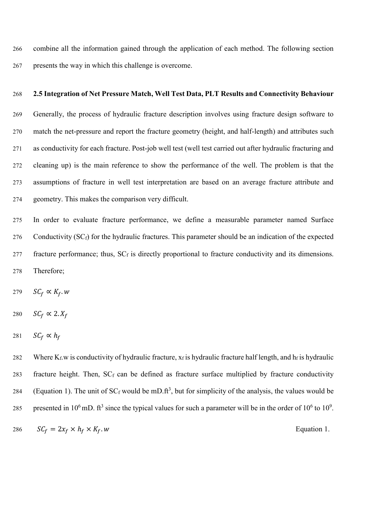combine all the information gained through the application of each method. The following section presents the way in which this challenge is overcome.

## **2.5 Integration of Net Pressure Match, Well Test Data, PLT Results and Connectivity Behaviour**

 Generally, the process of hydraulic fracture description involves using fracture design software to match the net-pressure and report the fracture geometry (height, and half-length) and attributes such as conductivity for each fracture. Post-job well test (well test carried out after hydraulic fracturing and cleaning up) is the main reference to show the performance of the well. The problem is that the assumptions of fracture in well test interpretation are based on an average fracture attribute and geometry. This makes the comparison very difficult.

 In order to evaluate fracture performance, we define a measurable parameter named Surface 276 Conductivity  $(SC_f)$  for the hydraulic fractures. This parameter should be an indication of the expected 277 fracture performance; thus,  $SC_f$  is directly proportional to fracture conductivity and its dimensions. Therefore;

279  $SC_f \propto K_f$ . W

$$
280 \t SC_f \propto 2.X_f
$$

$$
281 \tSC_f \propto h_f
$$

282 Where  $K_f$ , w is conductivity of hydraulic fracture,  $x_f$  is hydraulic fracture half length, and  $h_f$  is hydraulic 283 fracture height. Then, SC<sub>f</sub> can be defined as fracture surface multiplied by fracture conductivity 284 (Equation 1). The unit of  $SC_f$  would be mD.ft<sup>3</sup>, but for simplicity of the analysis, the values would be 285 presented in 10<sup>6</sup> mD. ft<sup>3</sup> since the typical values for such a parameter will be in the order of 10<sup>6</sup> to 10<sup>9</sup>.

$$
286 \t SCf = 2xf \times hf \times Kf. w \tEquation 1.
$$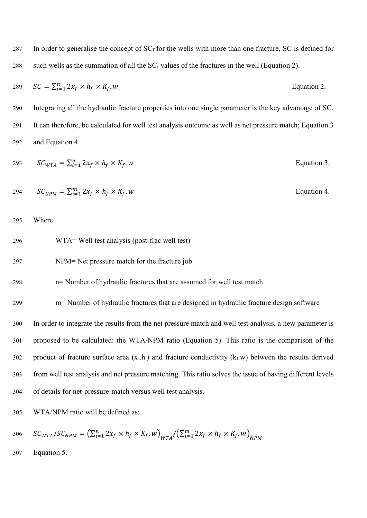287 In order to generalise the concept of  $SC_f$  for the wells with more than one fracture, SC is defined for 288 such wells as the summation of all the  $SC_f$  values of the fractures in the well (Equation 2).

289 
$$
SC = \sum_{i=1}^{n} 2x_f \times h_f \times K_f
$$
.

 Integrating all the hydraulic fracture properties into one single parameter is the key advantage of SC. It can therefore, be calculated for well test analysis outcome as well as net pressure match; Equation 3 and Equation 4.

293  $SC_{WTA} = \sum_{i=1}^{n} 2x_f \times h_f \times K_f$ .  $w$  Equation 3.

294 
$$
SC_{NPM} = \sum_{i=1}^{m} 2x_f \times h_f \times K_f
$$
. w Equation 4.

## Where

- WTA= Well test analysis (post-frac well test)
- NPM= Net pressure match for the fracture job
- n= Number of hydraulic fractures that are assumed for well test match

m= Number of hydraulic fractures that are designed in hydraulic fracture design software

 In order to integrate the results from the net pressure match and well test analysis, a new parameter is proposed to be calculated: the WTA/NPM ratio (Equation 5). This ratio is the comparison of the 302 product of fracture surface area  $(x_f, h_f)$  and fracture conductivity  $(k_f, w)$  between the results derived from well test analysis and net pressure matching. This ratio solves the issue of having different levels of details for net-pressure-match versus well test analysis.

WTA/NPM ratio will be defined as:

$$
306 \quad SC_{WTA}/SC_{NPM} = \left(\sum_{i=1}^{n} 2x_f \times h_f \times K_f. w\right)_{WTA} / \left(\sum_{i=1}^{m} 2x_f \times h_f \times K_f. w\right)_{NPM}
$$

Equation 5.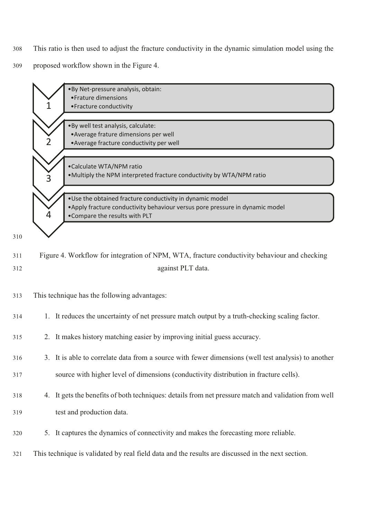- 308 This ratio is then used to adjust the fracture conductivity in the dynamic simulation model using the
- 309 proposed workflow shown in the Figure 4.

<span id="page-14-0"></span>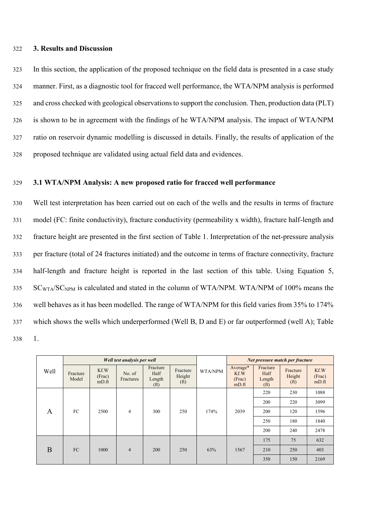#### 322 **3. Results and Discussion**

 In this section, the application of the proposed technique on the field data is presented in a case study manner. First, as a diagnostic tool for fracced well performance, the WTA/NPM analysis is performed and cross checked with geological observations to support the conclusion. Then, production data (PLT) is shown to be in agreement with the findings of he WTA/NPM analysis. The impact of WTA/NPM ratio on reservoir dynamic modelling is discussed in details. Finally, the results of application of the proposed technique are validated using actual field data and evidences.

## 329 **3.1 WTA/NPM Analysis: A new proposed ratio for fracced well performance**

 Well test interpretation has been carried out on each of the wells and the results in terms of fracture model (FC: finite conductivity), fracture conductivity (permeability x width), fracture half-length and fracture height are presented in the first section of Table 1. Interpretation of the net-pressure analysis per fracture (total of 24 fractures initiated) and the outcome in terms of fracture connectivity, fracture half-length and fracture height is reported in the last section of this table. Using Equation 5, 335 SC<sub>WTA</sub>/SC<sub>NPM</sub> is calculated and stated in the column of WTA/NPM. WTA/NPM of 100% means the well behaves as it has been modelled. The range of WTA/NPM for this field varies from 35% to 174% which shows the wells which underperformed (Well B, D and E) or far outperformed (well A); Table 338 1.

| Well | Well test analysis per well |                            |                     |                                                 |                                         |         | Net pressure match per fracture        |                                                 |                                         |                            |  |
|------|-----------------------------|----------------------------|---------------------|-------------------------------------------------|-----------------------------------------|---------|----------------------------------------|-------------------------------------------------|-----------------------------------------|----------------------------|--|
|      | Fracture<br>Model           | Kf.W<br>(Frac)<br>$mD$ .ft | No. of<br>Fractures | Fracture<br>Half<br>Length<br>(f <sup>t</sup> ) | Fracture<br>Height<br>(f <sup>t</sup> ) | WTA/NPM | Average*<br>Kf.W<br>(Frac)<br>$mD$ .ft | Fracture<br>Half<br>Length<br>(f <sup>t</sup> ) | Fracture<br>Height<br>(f <sup>t</sup> ) | Kf.W<br>(Frac)<br>$mD$ .ft |  |
| A    | FC                          | 2500                       | $\overline{4}$      | 300                                             | 250                                     | 174%    | 2039                                   | 220                                             | 230                                     | 1088                       |  |
|      |                             |                            |                     |                                                 |                                         |         |                                        | 200                                             | 220                                     | 3099                       |  |
|      |                             |                            |                     |                                                 |                                         |         |                                        | 200                                             | 120                                     | 1596                       |  |
|      |                             |                            |                     |                                                 |                                         |         |                                        | 250                                             | 180                                     | 1840                       |  |
|      |                             |                            |                     |                                                 |                                         |         |                                        | 200                                             | 240                                     | 2478                       |  |
|      |                             |                            |                     |                                                 |                                         |         |                                        | 175                                             | 75                                      | 632                        |  |
| B    | FC                          | 1000                       | $\overline{4}$      | 200                                             | 250                                     | 63%     | 1567                                   | 210                                             | 250                                     | 403                        |  |
|      |                             |                            |                     |                                                 |                                         |         |                                        | 350                                             | 150                                     | 2169                       |  |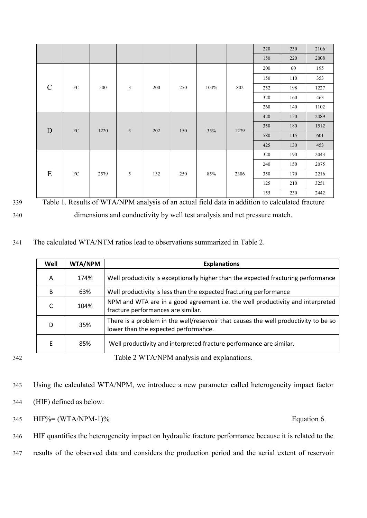|             |            |      |            |         |         |        |         | 220 | 230 | 2106 |
|-------------|------------|------|------------|---------|---------|--------|---------|-----|-----|------|
|             |            |      |            |         |         |        |         | 150 | 220 | 2008 |
|             |            |      |            |         |         |        |         | 200 | 60  | 195  |
|             |            |      | $\sqrt{3}$ |         |         |        |         | 150 | 110 | 353  |
| $\mathbf C$ | ${\rm FC}$ | 500  |            | $200\,$ | $250\,$ | 104%   | $802\,$ | 252 | 198 | 1227 |
|             |            |      |            |         |         |        |         | 320 | 160 | 463  |
|             |            |      |            |         |         |        |         | 260 | 140 | 1102 |
|             | ${\rm FC}$ | 1220 | $\sqrt{3}$ | $202\,$ | 150     | $35\%$ |         | 420 | 150 | 2489 |
| $\mathbf D$ |            |      |            |         |         |        | 1279    | 350 | 180 | 1512 |
|             |            |      |            |         |         |        |         | 580 | 115 | 601  |
|             |            |      |            |         |         |        |         | 425 | 130 | 453  |
|             |            |      |            |         |         |        |         | 320 | 190 | 2043 |
|             | ${\rm FC}$ | 2579 | 5          | 132     | 250     | $85\%$ |         | 240 | 150 | 2075 |
| ${\bf E}$   |            |      |            |         |         |        | 2306    | 350 | 170 | 2216 |
|             |            |      |            |         |         |        |         | 125 | 210 | 3251 |
|             |            |      |            |         |         |        |         | 155 | 230 | 2442 |

 Table 1. Results of WTA/NPM analysis of an actual field data in addition to calculated fracture dimensions and conductivity by well test analysis and net pressure match.

# The calculated WTA/NTM ratios lead to observations summarized in [Table 2.](#page-16-0)

| Well         | WTA/NPM | <b>Explanations</b>                                                                                                         |
|--------------|---------|-----------------------------------------------------------------------------------------------------------------------------|
| A            | 174%    | Well productivity is exceptionally higher than the expected fracturing performance                                          |
| B            | 63%     | Well productivity is less than the expected fracturing performance                                                          |
| $\mathsf{C}$ | 104%    | NPM and WTA are in a good agreement i.e. the well productivity and interpreted<br>fracture performances are similar.        |
| D            | 35%     | There is a problem in the well/reservoir that causes the well productivity to be so<br>lower than the expected performance. |
| F            | 85%     | Well productivity and interpreted fracture performance are similar.                                                         |
|              |         | Table 2 WTA NDM analysis and evalenctions                                                                                   |

<span id="page-16-0"></span>

Table 2 WTA/NPM analysis and explanations.

Using the calculated WTA/NPM, we introduce a new parameter called heterogeneity impact factor

(HIF) defined as below:

HIF%= (WTA/NPM-1)% Equation 6.

HIF quantifies the heterogeneity impact on hydraulic fracture performance because it is related to the

results of the observed data and considers the production period and the aerial extent of reservoir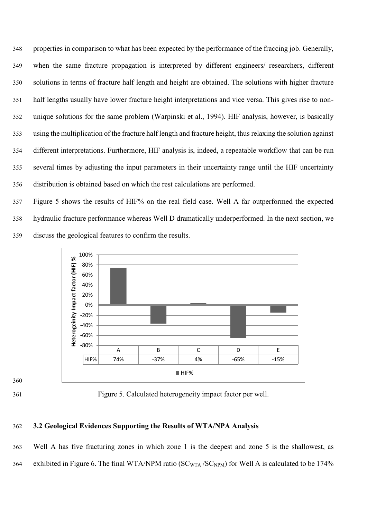properties in comparison to what has been expected by the performance of the fraccing job. Generally, when the same fracture propagation is interpreted by different engineers/ researchers, different solutions in terms of fracture half length and height are obtained. The solutions with higher fracture half lengths usually have lower fracture height interpretations and vice versa. This gives rise to non- unique solutions for the same problem (Warpinski et al., 1994). HIF analysis, however, is basically using the multiplication of the fracture half length and fracture height, thus relaxing the solution against different interpretations. Furthermore, HIF analysis is, indeed, a repeatable workflow that can be run several times by adjusting the input parameters in their uncertainty range until the HIF uncertainty distribution is obtained based on which the rest calculations are performed.

357 [Figure 5](#page-17-0) shows the results of HIF% on the real field case. Well A far outperformed the expected 358 hydraulic fracture performance whereas Well D dramatically underperformed. In the next section, we 359 discuss the geological features to confirm the results.



360

<span id="page-17-0"></span>

361 Figure 5. Calculated heterogeneity impact factor per well.

## 362 **3.2 Geological Evidences Supporting the Results of WTA/NPA Analysis**

363 Well A has five fracturing zones in which zone 1 is the deepest and zone 5 is the shallowest, as 364 exhibited in Figure 6. The final WTA/NPM ratio (SC<sub>WTA</sub>/SC<sub>NPM</sub>) for Well A is calculated to be 174%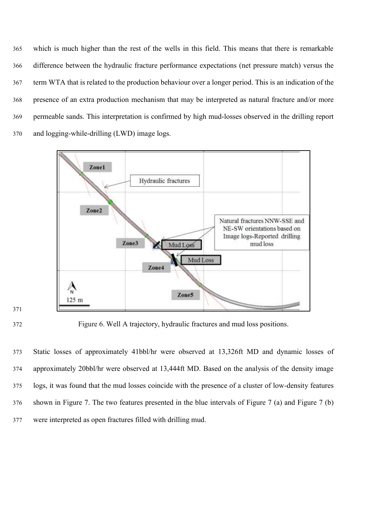which is much higher than the rest of the wells in this field. This means that there is remarkable difference between the hydraulic fracture performance expectations (net pressure match) versus the term WTA that is related to the production behaviour over a longer period. This is an indication of the presence of an extra production mechanism that may be interpreted as natural fracture and/or more permeable sands. This interpretation is confirmed by high mud-losses observed in the drilling report and logging-while-drilling (LWD) image logs.



Figure 6. Well A trajectory, hydraulic fractures and mud loss positions.

 Static losses of approximately 41bbl/hr were observed at 13,326ft MD and dynamic losses of approximately 20bbl/hr were observed at 13,444ft MD. Based on the analysis of the density image logs, it was found that the mud losses coincide with the presence of a cluster of low-density features shown in Figure 7. The two features presented in the blue intervals of Figure 7 (a) and Figure 7 (b) were interpreted as open fractures filled with drilling mud.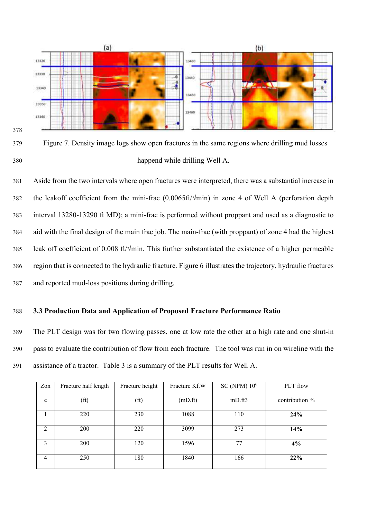

379 Figure 7. Density image logs show open fractures in the same regions where drilling mud losses 380 happend while drilling Well A.

378

 Aside from the two intervals where open fractures were interpreted, there was a substantial increase in the leakoff coefficient from the mini-frac (0.0065ft/√min) in zone 4 of Well A (perforation depth interval 13280-13290 ft MD); a mini-frac is performed without proppant and used as a diagnostic to aid with the final design of the main frac job. The main-frac (with proppant) of zone 4 had the highest leak off coefficient of 0.008 ft/√min. This further substantiated the existence of a higher permeable region that is connected to the hydraulic fracture. Figure 6 illustrates the trajectory, hydraulic fractures and reported mud-loss positions during drilling.

# 388 **3.3 Production Data and Application of Proposed Fracture Performance Ratio**

389 The PLT design was for two flowing passes, one at low rate the other at a high rate and one shut-in 390 pass to evaluate the contribution of flow from each fracture. The tool was run in on wireline with the 391 assistance of a tractor. Table 3 is a summary of the PLT results for Well A.

| Zon            | Fracture half length | Fracture height   | Fracture Kf.W | SC (NPM) $10^6$ | PLT flow          |
|----------------|----------------------|-------------------|---------------|-----------------|-------------------|
| e              | (f <sup>t</sup> )    | (f <sup>t</sup> ) | (mD.fr)       | $mD$ .ft3       | contribution $\%$ |
|                | 220                  | 230               | 1088          | 110             | 24%               |
| 2              | 200                  | 220               | 3099          | 273             | 14%               |
| 3              | 200                  | 120               | 1596          | 77              | 4%                |
| $\overline{4}$ | 250                  | 180               | 1840          | 166             | 22%               |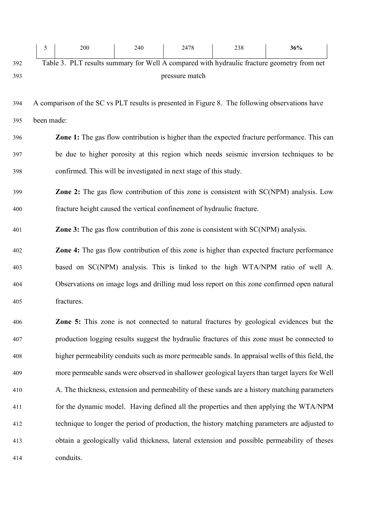|     | 5                                                                                                   | 200                                                                                           | 240 | 2478 | 238 | 36%                                                                                              |  |  |  |  |  |  |
|-----|-----------------------------------------------------------------------------------------------------|-----------------------------------------------------------------------------------------------|-----|------|-----|--------------------------------------------------------------------------------------------------|--|--|--|--|--|--|
| 392 |                                                                                                     |                                                                                               |     |      |     | Table 3. PLT results summary for Well A compared with hydraulic fracture geometry from net       |  |  |  |  |  |  |
| 393 | pressure match                                                                                      |                                                                                               |     |      |     |                                                                                                  |  |  |  |  |  |  |
| 394 |                                                                                                     |                                                                                               |     |      |     |                                                                                                  |  |  |  |  |  |  |
|     | A comparison of the SC vs PLT results is presented in Figure 8. The following observations have     |                                                                                               |     |      |     |                                                                                                  |  |  |  |  |  |  |
| 395 | been made:                                                                                          |                                                                                               |     |      |     |                                                                                                  |  |  |  |  |  |  |
| 396 | <b>Zone 1:</b> The gas flow contribution is higher than the expected fracture performance. This can |                                                                                               |     |      |     |                                                                                                  |  |  |  |  |  |  |
| 397 |                                                                                                     |                                                                                               |     |      |     | be due to higher porosity at this region which needs seismic inversion techniques to be          |  |  |  |  |  |  |
| 398 |                                                                                                     | confirmed. This will be investigated in next stage of this study.                             |     |      |     |                                                                                                  |  |  |  |  |  |  |
| 399 | Zone 2: The gas flow contribution of this zone is consistent with SC(NPM) analysis. Low             |                                                                                               |     |      |     |                                                                                                  |  |  |  |  |  |  |
| 400 |                                                                                                     | fracture height caused the vertical confinement of hydraulic fracture.                        |     |      |     |                                                                                                  |  |  |  |  |  |  |
| 401 | <b>Zone 3:</b> The gas flow contribution of this zone is consistent with SC(NPM) analysis.          |                                                                                               |     |      |     |                                                                                                  |  |  |  |  |  |  |
| 402 |                                                                                                     |                                                                                               |     |      |     | Zone 4: The gas flow contribution of this zone is higher than expected fracture performance      |  |  |  |  |  |  |
| 403 |                                                                                                     | based on SC(NPM) analysis. This is linked to the high WTA/NPM ratio of well A.                |     |      |     |                                                                                                  |  |  |  |  |  |  |
| 404 |                                                                                                     |                                                                                               |     |      |     | Observations on image logs and drilling mud loss report on this zone confirmed open natural      |  |  |  |  |  |  |
| 405 |                                                                                                     | fractures.                                                                                    |     |      |     |                                                                                                  |  |  |  |  |  |  |
| 406 | Zone 5: This zone is not connected to natural fractures by geological evidences but the             |                                                                                               |     |      |     |                                                                                                  |  |  |  |  |  |  |
| 407 |                                                                                                     |                                                                                               |     |      |     | production logging results suggest the hydraulic fractures of this zone must be connected to     |  |  |  |  |  |  |
| 408 |                                                                                                     |                                                                                               |     |      |     | higher permeability conduits such as more permeable sands. In appraisal wells of this field, the |  |  |  |  |  |  |
| 409 |                                                                                                     | more permeable sands were observed in shallower geological layers than target layers for Well |     |      |     |                                                                                                  |  |  |  |  |  |  |
| 410 |                                                                                                     | A. The thickness, extension and permeability of these sands are a history matching parameters |     |      |     |                                                                                                  |  |  |  |  |  |  |
| 411 |                                                                                                     |                                                                                               |     |      |     | for the dynamic model. Having defined all the properties and then applying the WTA/NPM           |  |  |  |  |  |  |
| 412 |                                                                                                     |                                                                                               |     |      |     | technique to longer the period of production, the history matching parameters are adjusted to    |  |  |  |  |  |  |
| 413 |                                                                                                     |                                                                                               |     |      |     | obtain a geologically valid thickness, lateral extension and possible permeability of theses     |  |  |  |  |  |  |
| 414 |                                                                                                     | conduits.                                                                                     |     |      |     |                                                                                                  |  |  |  |  |  |  |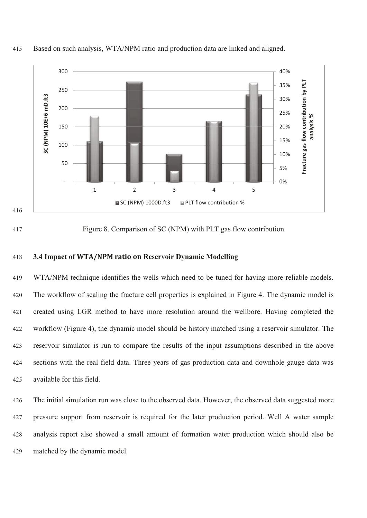

415 Based on such analysis, WTA/NPM ratio and production data are linked and aligned.



417 Figure 8. Comparison of SC (NPM) with PLT gas flow contribution

# **418 3.4 Impact of WTA/NPM ratio on Reservoir Dynamic Modelling**

419 WTA/NPM technique identifies the wells which need to be tuned for having more reliable models. 420 The workflow of scaling the fracture cell properties is explained in Figure 4. The dynamic model is 421 created using LGR method to have more resolution around the wellbore. Having completed the 422 workflow (Figure 4), the dynamic model should be history matched using a reservoir simulator. The 123 reservoir simulator is run to compare the results of the input assumptions described in the above 424 sections with the real field data. Three years of gas production data and downhole gauge data was 425 available for this field.

426 The initial simulation run was close to the observed data. However, the observed data suggested more And the pressure support from reservoir is required for the later production period. Well A water sample 428 analysis report also showed a small amount of formation water production which should also be 429 matched by the dynamic model.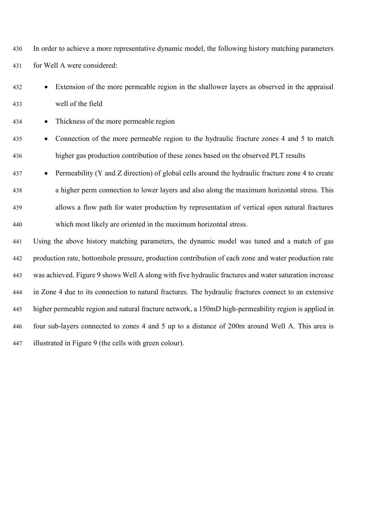In order to achieve a more representative dynamic model, the following history matching parameters for Well A were considered:

- Extension of the more permeable region in the shallower layers as observed in the appraisal well of the field
- 434 Thickness of the more permeable region
- Connection of the more permeable region to the hydraulic fracture zones 4 and 5 to match higher gas production contribution of these zones based on the observed PLT results
- Permeability (Y and Z direction) of global cells around the hydraulic fracture zone 4 to create a higher perm connection to lower layers and also along the maximum horizontal stress. This allows a flow path for water production by representation of vertical open natural fractures which most likely are oriented in the maximum horizontal stress.
- Using the above history matching parameters, the dynamic model was tuned and a match of gas production rate, bottomhole pressure, production contribution of each zone and water production rate was achieved. Figure 9 shows Well A along with five hydraulic fractures and water saturation increase in Zone 4 due to its connection to natural fractures. The hydraulic fractures connect to an extensive higher permeable region and natural fracture network, a 150mD high-permeability region is applied in four sub-layers connected to zones 4 and 5 up to a distance of 200m around Well A. This area is illustrated in Figure 9 (the cells with green colour).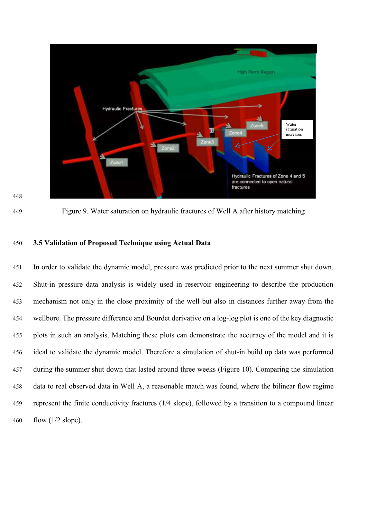



# **3.5 Validation of Proposed Technique using Actual Data**

 In order to validate the dynamic model, pressure was predicted prior to the next summer shut down. Shut-in pressure data analysis is widely used in reservoir engineering to describe the production mechanism not only in the close proximity of the well but also in distances further away from the wellbore. The pressure difference and Bourdet derivative on a log-log plot is one of the key diagnostic plots in such an analysis. Matching these plots can demonstrate the accuracy of the model and it is ideal to validate the dynamic model. Therefore a simulation of shut-in build up data was performed during the summer shut down that lasted around three weeks (Figure 10). Comparing the simulation data to real observed data in Well A, a reasonable match was found, where the bilinear flow regime represent the finite conductivity fractures (1/4 slope), followed by a transition to a compound linear flow (1/2 slope).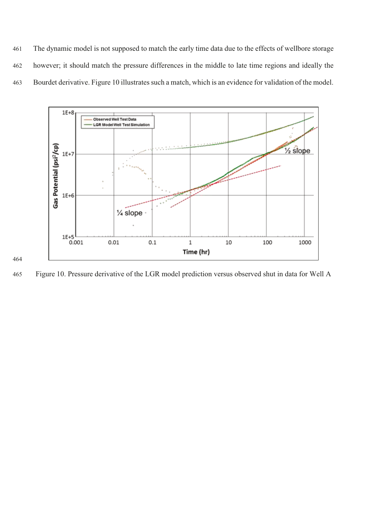<sup>461</sup> The dynamic model is not supposed to match the early time data due to the effects of wellbore storage About the pressure differences in the middle to late time regions and ideally the hydrodynamic holder and ideally the 463 Bourdet derivative. Figure 10 illustrates such a match, which is an evidence for validation of the model.



<span id="page-24-0"></span>465 Figure 10. Pressure derivative of the LGR model prediction versus observed shut in data for Well A

464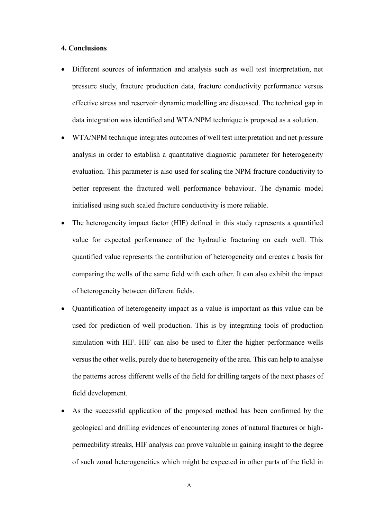## **4. Conclusions**

- Different sources of information and analysis such as well test interpretation, net pressure study, fracture production data, fracture conductivity performance versus effective stress and reservoir dynamic modelling are discussed. The technical gap in data integration was identified and WTA/NPM technique is proposed as a solution.
- WTA/NPM technique integrates outcomes of well test interpretation and net pressure analysis in order to establish a quantitative diagnostic parameter for heterogeneity evaluation. This parameter is also used for scaling the NPM fracture conductivity to better represent the fractured well performance behaviour. The dynamic model initialised using such scaled fracture conductivity is more reliable.
- The heterogeneity impact factor (HIF) defined in this study represents a quantified value for expected performance of the hydraulic fracturing on each well. This quantified value represents the contribution of heterogeneity and creates a basis for comparing the wells of the same field with each other. It can also exhibit the impact of heterogeneity between different fields.
- Ouantification of heterogeneity impact as a value is important as this value can be used for prediction of well production. This is by integrating tools of production simulation with HIF. HIF can also be used to filter the higher performance wells versus the other wells, purely due to heterogeneity of the area. This can help to analyse the patterns across different wells of the field for drilling targets of the next phases of field development.
- As the successful application of the proposed method has been confirmed by the geological and drilling evidences of encountering zones of natural fractures or highpermeability streaks, HIF analysis can prove valuable in gaining insight to the degree of such zonal heterogeneities which might be expected in other parts of the field in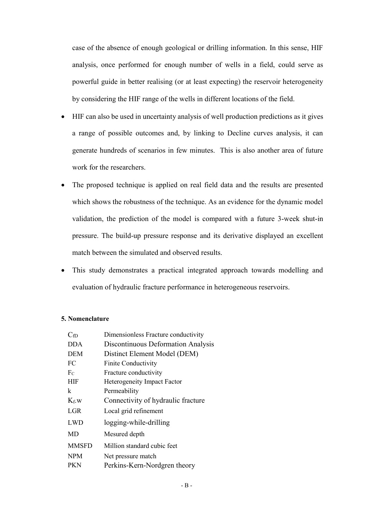case of the absence of enough geological or drilling information. In this sense, HIF analysis, once performed for enough number of wells in a field, could serve as powerful guide in better realising (or at least expecting) the reservoir heterogeneity by considering the HIF range of the wells in different locations of the field.

- HIF can also be used in uncertainty analysis of well production predictions as it gives a range of possible outcomes and, by linking to Decline curves analysis, it can generate hundreds of scenarios in few minutes. This is also another area of future work for the researchers.
- The proposed technique is applied on real field data and the results are presented which shows the robustness of the technique. As an evidence for the dynamic model validation, the prediction of the model is compared with a future 3-week shut-in pressure. The build-up pressure response and its derivative displayed an excellent match between the simulated and observed results.
- This study demonstrates a practical integrated approach towards modelling and evaluation of hydraulic fracture performance in heterogeneous reservoirs.

## **5. Nomenclature**

| $C_{fD}$     | Dimensionless Fracture conductivity |
|--------------|-------------------------------------|
| DDA          | Discontinuous Deformation Analysis  |
| <b>DEM</b>   | Distinct Element Model (DEM)        |
| FC           | <b>Finite Conductivity</b>          |
| $F_{C}$      | Fracture conductivity               |
| HIF          | <b>Heterogeneity Impact Factor</b>  |
| k            | Permeability                        |
| $K_f$ . W    | Connectivity of hydraulic fracture  |
| LGR          | Local grid refinement               |
| <b>LWD</b>   | logging-while-drilling              |
| MD           | Mesured depth                       |
| <b>MMSFD</b> | Million standard cubic feet         |
| <b>NPM</b>   | Net pressure match                  |
| <b>PKN</b>   | Perkins-Kern-Nordgren theory        |
|              |                                     |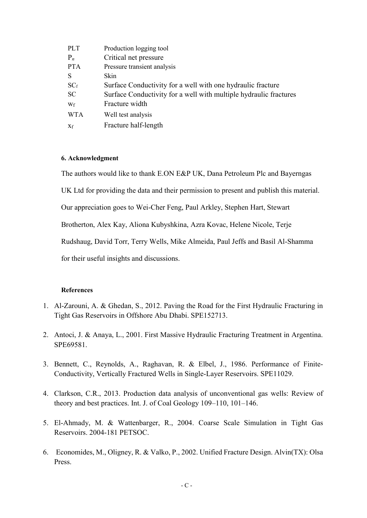| <b>PLT</b> | Production logging tool                                           |
|------------|-------------------------------------------------------------------|
| $P_n$      | Critical net pressure                                             |
| <b>PTA</b> | Pressure transient analysis                                       |
| S          | Skin                                                              |
| $SC_f$     | Surface Conductivity for a well with one hydraulic fracture       |
| <b>SC</b>  | Surface Conductivity for a well with multiple hydraulic fractures |
| Wf         | Fracture width                                                    |
| <b>WTA</b> | Well test analysis                                                |
| $X_{f}$    | Fracture half-length                                              |

## **6. Acknowledgment**

The authors would like to thank E.ON E&P UK, Dana Petroleum Plc and Bayerngas

UK Ltd for providing the data and their permission to present and publish this material.

Our appreciation goes to Wei-Cher Feng, Paul Arkley, Stephen Hart, Stewart

Brotherton, Alex Kay, Aliona Kubyshkina, Azra Kovac, Helene Nicole, Terje

Rudshaug, David Torr, Terry Wells, Mike Almeida, Paul Jeffs and Basil Al-Shamma

for their useful insights and discussions.

## **References**

- 1. Al-Zarouni, A. & Ghedan, S., 2012. Paving the Road for the First Hydraulic Fracturing in Tight Gas Reservoirs in Offshore Abu Dhabi. SPE152713.
- 2. Antoci, J. & Anaya, L., 2001. First Massive Hydraulic Fracturing Treatment in Argentina. SPE69581.
- 3. Bennett, C., Reynolds, A., Raghavan, R. & Elbel, J., 1986. Performance of Finite-Conductivity, Vertically Fractured Wells in Single-Layer Reservoirs. SPE11029.
- 4. Clarkson, C.R., 2013. Production data analysis of unconventional gas wells: Review of theory and best practices. Int. J. of Coal Geology 109–110, 101–146.
- 5. El-Ahmady, M. & Wattenbarger, R., 2004. Coarse Scale Simulation in Tight Gas Reservoirs. 2004-181 PETSOC.
- 6. Economides, M., Oligney, R. & Valko, P., 2002. Unified Fracture Design. Alvin(TX): Olsa Press.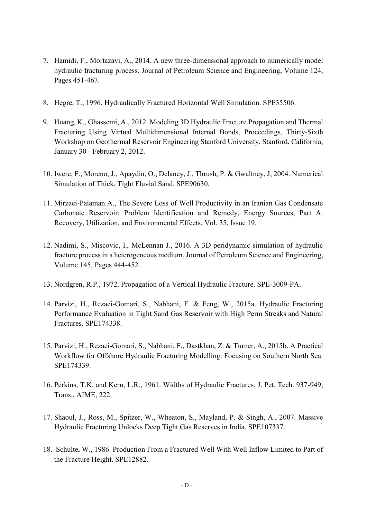- 7. Hamidi, F., Mortazavi, A., 2014. A new three-dimensional approach to numerically model hydraulic fracturing process. Journal of Petroleum Science and Engineering, Volume 124, Pages 451-467.
- 8. Hegre, T., 1996. Hydraulically Fractured Horizontal Well Simulation. SPE35506.
- 9. Huang, K., Ghassemi, A., 2012. Modeling 3D Hydraulic Fracture Propagation and Thermal Fracturing Using Virtual Multidimensional Internal Bonds, Proceedings, Thirty-Sixth Workshop on Geothermal Reservoir Engineering Stanford University, Stanford, California, January 30 - February 2, 2012.
- 10. Iwere, F., Moreno, J., Apaydin, O., Delaney, J., Thrush, P. & Gwaltney, J, 2004. Numerical Simulation of Thick, Tight Fluvial Sand. SPE90630.
- 11. Mirzaei-Paiaman A., The Severe Loss of Well Productivity in an Iranian Gas Condensate Carbonate Reservoir: Problem Identification and Remedy, Energy Sources, Part A: Recovery, Utilization, and Environmental Effects, Vol. 35, Issue 19.
- 12. Nadimi, S., Miscovic, I., McLennan J., 2016. A 3D peridynamic simulation of hydraulic fracture process in a heterogeneous medium. Journal of Petroleum Science and Engineering, Volume 145, Pages 444-452.
- 13. Nordgren, R.P., 1972. Propagation of a Vertical Hydraulic Fracture. SPE-3009-PA.
- 14. Parvizi, H., Rezaei-Gomari, S., Nabhani, F. & Feng, W., 2015a. Hydraulic Fracturing Performance Evaluation in Tight Sand Gas Reservoir with High Perm Streaks and Natural Fractures. SPE174338.
- 15. Parvizi, H., Rezaei-Gomari, S., Nabhani, F., Dastkhan, Z. & Turner, A., 2015b. A Practical Workflow for Offshore Hydraulic Fracturing Modelling: Focusing on Southern North Sea. SPE174339.
- 16. Perkins, T.K. and Kern, L.R., 1961. Widths of Hydraulic Fractures. J. Pet. Tech. 937-949; Trans., AIME, 222.
- 17. Shaoul, J., Ross, M., Spitzer, W., Wheaton, S., Mayland, P. & Singh, A., 2007. Massive Hydraulic Fracturing Unlocks Deep Tight Gas Reserves in India. SPE107337.
- 18. Schulte, W., 1986. Production From a Fractured Well With Well Inflow Limited to Part of the Fracture Height. SPE12882.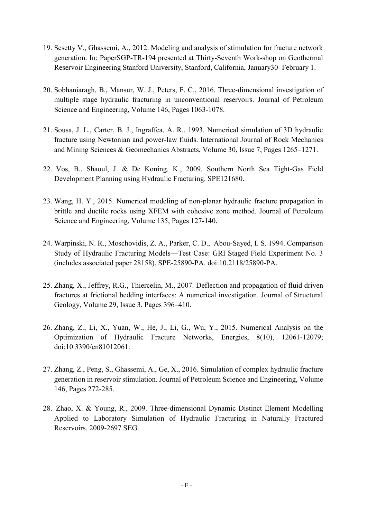- 19. Sesetty V., Ghassemi, A., 2012. Modeling and analysis of stimulation for fracture network generation. In: PaperSGP-TR-194 presented at Thirty-Seventh Work-shop on Geothermal Reservoir Engineering Stanford University, Stanford, California, January30–February 1.
- 20. Sobhaniaragh, B., Mansur, W. J., Peters, F. C., 2016. Three-dimensional investigation of multiple stage hydraulic fracturing in unconventional reservoirs. Journal of Petroleum Science and Engineering, Volume 146, Pages 1063-1078.
- 21. Sousa, J. L., Carter, B. J., Ingraffea, A. R., 1993. Numerical simulation of 3D hydraulic fracture using Newtonian and power-law fluids. International Journal of Rock Mechanics and Mining Sciences & Geomechanics Abstracts, Volume 30, Issue 7, Pages 1265–1271.
- 22. Vos, B., Shaoul, J. & De Koning, K., 2009. Southern North Sea Tight-Gas Field Development Planning using Hydraulic Fracturing. SPE121680.
- 23. Wang, H. Y., 2015. Numerical modeling of non-planar hydraulic fracture propagation in brittle and ductile rocks using XFEM with cohesive zone method. Journal of Petroleum Science and Engineering, Volume 135, Pages 127-140.
- 24. Warpinski, N. R., Moschovidis, Z. A., Parker, C. D., Abou-Sayed, I. S. 1994. Comparison Study of Hydraulic Fracturing Models—Test Case: GRI Staged Field Experiment No. 3 (includes associated paper 28158). SPE-25890-PA. doi:10.2118/25890-PA.
- 25. Zhang, X., Jeffrey, R.G., Thiercelin, M., 2007. Deflection and propagation of fluid driven fractures at frictional bedding interfaces: A numerical investigation. Journal of Structural Geology, Volume 29, Issue 3, Pages 396–410.
- 26. Zhang, Z., Li, X., Yuan, W., He, J., Li, G., Wu, Y., 2015. Numerical Analysis on the Optimization of Hydraulic Fracture Networks, Energies, 8(10), 12061-12079; doi:10.3390/en81012061.
- 27. Zhang, Z., Peng, S., Ghassemi, A., Ge, X., 2016. Simulation of complex hydraulic fracture generation in reservoir stimulation. Journal of Petroleum Science and Engineering, Volume 146, Pages 272-285.
- 28. Zhao, X. & Young, R., 2009. Three-dimensional Dynamic Distinct Element Modelling Applied to Laboratory Simulation of Hydraulic Fracturing in Naturally Fractured Reservoirs. 2009-2697 SEG.